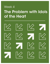# The Problem with Idols of the Heart Week 4

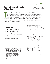# **The Problem with Idols of the Heart**

Week**4**

The essential dynamic of change in the heart of the Christian runs or<br>of repentance and faith. Repentance is unmasking the idols of the h<br>that is, the motivations for action from an identity other than Christ a<br>taking them he essential dynamic of change in the heart of the Christian runs on a cycle of repentance and faith. Repentance is unmasking the idols of the heart; that is, the motivations for action from an identity other than Christ and then taking them to the Cross. Faith is trusting in the forgiveness of Christ and

"All of life is repentance." Martin Luther (Thesis #1 of the 95 Theses nailed to the door of the Roman Catholic church in Wittenberg, Germany)

# **Day One:** Removing Idols from the Heart

Go to the Living FDFD website, Week Four, to listen to the audio resources for this day.

# MESSAGE OUTLINE:

Repentance has three parts to it.

- 1. It is first the realization that we have placed our "functional" trust in something or someone other than God–something that cannot deliver on its promise to give our life meaning and satisfaction.
- 2. The second part of repentance is the practice of redirecting our trust away from false gods/idols of the heart and then placing it in God.
- 3. The final step in repentance is receiving the kindness of God expressed to us through His forgiveness.

This third part is important for us to understand or we can slip into "moralism." Moralism is the belief that we need to be good enough to qualify for God's kindness. In other words, it is up to us to get our act together and get back into God's good graces. Moralism is the practice of going to Mt. Sinai (the Law–try harder) instead of to Mt. Calvary (God's grace–believe better).

This can be illustrated by what Jesus said to Simon the Pharisee. Simon had looked down on the woman that had anointed Jesus' head with oil, wept on and kissed His feet, then wiped His feet with her hair. Jesus pointed out that she loved much because she knew she needed forgiveness and had received it (Mt. Calvary). This, Jesus pointed out, was just the opposite of what Simon did. He tried to justify himself (Mt. Sinai). (Luke 7:36-50)

This means that "repentance isn't just for the bad times–it is for all times." It is for whenever we discover we have trusted poorly–that we have looked to something in the creation to replace the creator as having first place in our affections.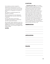One mistake we make in regards to repentance is that we focus on our sin and on what a terrible person we are. God would rather have us focus on Him and His goodness to us displayed in the death of Christ.

We need to constantly preach the gospel to ourselves:

Part One: We are far more depraved and wicked than we ever could have imagined.

Part Two: We are far more loved, accepted and forgiven in Christ than we ever could have hoped.

Ask yourself: "Have I placed my trust, my hopes and dreams, and my loyalty and allegiance in anyone or anything other than Christ?" If so, it's time to repent and believe better.

### NOTES:

### SCRIPTURE:

**Colossians 3:5-11 NIV** | *Put to death, therefore, whatever belongs to your earthly nature: sexual immorality, impurity, lust, evil desires and greed, which is idolatry. Because of these, the wrath of God is coming. You used to walk in these ways, in the life you once lived. But now you must also rid yourselves of all such things as these: anger, rage, malice, slander, and*  !*lthy language from your lips. Do not lie to each other, since you have taken off your old self with its practices and have put on the new self, which is being renewed in knowledge in the image of its Creator. Here there is no Gentile or Jew, circumcised or uncircumcised, barbarian, Scythian, slave or free, but Christ is all, and is in all.*

# **OBSERVATION:**

# **APPLICATION:**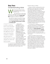# **Day Two:**  Understanding Idols

Men God gave Moses the Ten<br>Commandments, top on His Iis<br>of "DON'Ts" was...<br>"You shall have no other go Commandments, top on His list of "DON'Ts" was… *"You shall have no other gods* 

*before me."* Naturally, we want to know what God meant by "other gods" (**Exodus 20:3 NIV**). He goes on to tell us in verses 4-5:

*You shall not make for yourself an image in the form of anything in heaven above or on the earth beneath or in the waters below. You shall not bow down to them or worship them...*

An IDOL is anything that is more important to you than God. It is anything that captures the affections of your heart that should be invested in a relationship with God. It is anything that you hope will give you what only God can give.

Those words highlighted in verse five make it clear that anything that takes the place of God as ULTIMATE, or as the object of our PRIMARY allegiance, or as a COUNTERFEIT god, can be an idol. Unfortunately, it is the good things in life, like marriage, money, sex, children, and success that are the prime candidates for idol status. In fact, the greater the good, the more likely we are to expect these "idols" to satisfy

our deepest longings, needs, and hopes. So anything can serve as an idol or counterfeit god, especially the best things in life.

Question: What is an IDOL?

Answer: An IDOL is anything that is more important to you than God. It is anything that captures the affections of your heart that should instead be invested in a relationship with God. It is anything that you hope will give you what only God can give. An idol is something that is so essential to your life that if you were to lose it, it would make life worthless (for instance, money, a child, a job etc). An idol is something other than God that you look to in order to give your life meaning and purpose. It is whatever you have substituted for God in order to gain significance and security. (For a deeper dive, go to the Appendix and take the Idolatry Detector Test)

It is important to understand why God gave the command to 1) worship Him supremely, and 2) worship no other gods/ idols. What motivates these commands is His "jealousy." In **Exodus 20:5 NIV**, He tells us, *"for I, the Lord your God, am a jealous God."* An understanding of what He meant by "jealous" will give us a clue as to why God is so intent on us keeping these first two commands.

God is not "jealous" like we are. He doesn't grind over us having something He doesn't. His jealousy is more like the kind of jealousy we have for the affections and trust of our children. We want them to trust us, not the drug dealer that hangs out at school. We want our daughter to trust us, not the sweet talking guy who is three years older than her. We know we have our children's best interest at heart, and we know that those other voices and influences in their lives do not. Maybe a better translation of the word is "zealous."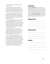God is intensely committed to His glory and our good.

Therefore, this command to worship God exclusively is a gift to us. This is true since the worshiping of other gods will only result in our experiencing less freedom, less satisfaction, and less of what will give us joy.

What are some examples of "idols" that are commonly pursued as an alternative to the pursuit of God? What makes each of these idols attractive is the fact that they promise us "relief" or "rescue" from a life of fear and insecurity.

 Let's take money for instance. It promises to make you SOMEBODY… that you will finally be able to fit into the "club" of people who are thought to be smart and ambitious. It falsely promises that if you have enough money you will never fear again. Therefore, it promises insulation from tough times and circumstantial insecurity.

What about success or popularity as an idol? These promise some of the same things as the idol of money... the sense of having "made it." These false idols are an appealing substitute for God because of their immediate boost to our ego.

When we seek and prefer idols instead of God, it is often motivated by the very sshort-lived desire for the approval of others. In these misguided pursuits, we will find out that we are only as "popular" or "successful" as our last accomplishment. Again, this is why a person who chooses to bow down and worship an idol instead of God. Instead of curing our fear and insecurities, the pursuit of idols only makes them worse.

#### **SCRIPTURE:**

**Exodus 20:3-5 NIV** | *You shall have no other gods before me.* 4 *You shall not make for yourself an image in the form of anything in heaven above or on the earth beneath or in the waters below.* 5 *You shall not bow down to them or worship them; for I, the Lord your God, am a jealous God, punishing the children for the sin of the parents to the third and fourth generation of those who hate me…*

### **OBSERVATION:**

### **APPLICATION:**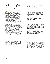# **Day Three:** Why We Are so Enticed by Idols of the Heart?

s you might recall, Adam and Eve<br>
rebelled in the Garden against<br>
God's authority. They rebelled<br>
against His right to tell them what<br>
to do—what is right and what is wrong. rebelled in the Garden against God's authority. They rebelled against His right to tell them what We call this "God's Moral Authority." The immediate consequence of this rebellion was a break in the relationship between them and God. They had violated God's TRUST. Now, in a sense, they were on their own, deciding for themselves what would make them happy and fulfilled.

Immediately both of them experienced something they had never experienced before: fear, insecurity, and guilt. They were "naked"—not just physically but emotionally as well. Since then, all of mankind has struggled with the consequences of possessing a sin nature. We are SELF-CONSCIOUS, SELF-ABSORBED, SELF-CENTERED, and just plain SELFISH. Because all of us share this sin nature, we all naturally think we know what is best for us, what will fulfill us. Our first inclination is never the idea that God will fulfill and satisfy our deepest longings. So we naturally look to IDOLS things like MONEY, SEX, and POWER/ CONTROL to give us what only God can.

The problem is not that money, sex, and power are bad things. The problem is with us—we OVER DESIRE these things. There is a Greek word that is consistently used to identify our PROBLEM.

It is the word *epithumia*. It means to "overdesire" something that is good. Look at how the Apostle Paul uses this word over and over to describe our natural tendency to look to IDOLS of the HEART to give us what only God can give.

*"Rather, clothe yourselves with the Lord Jesus Christ, and do not think about how to gratify the desires of the* **!***esh"* (**Romans 13:14 NIV**).

*"So I say, walk by the Spirit, and you will not gratify the desires of the flesh<sup>®</sup>* (**Galatians 5:16 NIV**).

*"Those who belong to Christ Jesus have cruci*!*ed the* "*esh with its passions and desires."* (**Galatians 5:24 NIV**).

*"All of us also lived among them at one time, gratifying the cravings of our flesh and following its desires and thoughts. Like the rest, we were by nature deserving of wrath."* (**Ephesians 2:3 NIV**).

*"You were taught, with regard to your former way of life, to put off your old self, which is being corrupted by its deceitful desires"* (**Ephesians 4:22 NIV**).

We NATURALLY desire that which we think will help us conquer our FEARS and INSECURITIES. That is at the heart of why we pursue counterfeit gods and false "saviors." As sinners in need of a savior, we are attracted to "deceitful desires." When we "over desire" other things rather than God, we are hoping that we can overcome our fears and insecurities without bending the knee to God. This is a form of "self-salvation." Unfortunately, the result of this pursuit is disillusionment, more fears, more insecurity, and a life plagued with true moral guilt.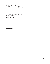What IDOL of the heart do you tend to over desire? Why do you think that is? What does it falsely promise to give you that only God can give? (Reminder: see Appendix for the Idolatry Detector Test)

# **SCRIPTURE:**

**1 John 5:21 NIV** *| Little children, keep yourselves from idols.*

# **OBSERVATION:**

# **APPLICATION:**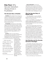# **Day Four:** Why Secular Salvation Always Ends in Frustration

# **The Secular Story of Reality:**

**Creation** didn't happen. The cosmos is a happy accident. We are not accountable to any one or anything beyond ourselves. Life meaning and purpose come from within, not from some other entity. Every person is free to choose their own path because their bodies belong to them.

**The Garden** represents our "Inner Child" and a time when we were innocent, happy, fulfilled, and vulnerable. The Garden can be the world that we have always wanted, even if it is not real. It's our idealized world. It's a world filled with cool people, cool things, and cool experiences. It requires nothing from us. We aren't responsible for, or to anyone.

**The Fall** is when our "Inner Child" or "sense of self" was wounded. It is represented by anything that we feel has hurt us or oppressed us. This can be the responsibilities of adulthood (a job, a relationship, the

… when we are in charge, when we are free to design our perfect existence, when we think that this world is ALL ABOUT ME, we will never find the joy that Christ promised.

burden of living consistently within the framework of a particular worldview). In this version of the Fall, SIN is anything that happens to us that we don't like. The Fall is seen as oppression from outside forces of culture, government, or anyone else in authority or power. SIN has made us all VICTIMS.

**Rescue/Salvation** comes from organizing my life in such a way that I can get as much happiness as possible. It means finding the right place to live, the right people to hang out with, the right job, and the right circumstances in which my Inner Child is never challenged or upset.

### **Why the Secular Story of Reality Fails:**

 First, self-salvation is hard to AFFORD. Buying the life that we think will make us happy can break the bank.

Second, the PEOPLE we thought would make us happy also thought that WE WOULD MAKE THEM HAPPY. And so now we are both disappointed with each other on a continuing basis.

Third, we are never quite sure that we have found the RIGHT PLACE to live, or the RIGHT PEOPLE to hang with, or the RIGHT JOB. And because we're aware that our youth won't last forever, we are filled with anxiety, wondering if we should stick with our current place, friend, or job or move on. After all, there might be a better OPTION someplace else. And because we are continuously anxious, we are never completely happy and fulfilled. We are haunted by the thought that we might be settling for something that isn't ultimate and amazing.

# **Idol Worship and the Secular Salvation Paradigm**

The problem with idol worship is that it feeds the Secular Salvation Paradigm. And because it feeds this paradigm, it has the same PROBLEM: no rest and no joy. Likely the biggest driver of seeking "salvation/ happiness" in something other than God is that it gives us a sense of CONTROL. But when we are in charge, when we are free to design our perfect existence, when we think that this world is ALL ABOUT ME, we will never find the joy that Christ promised.

Music artist Drake put it well when he